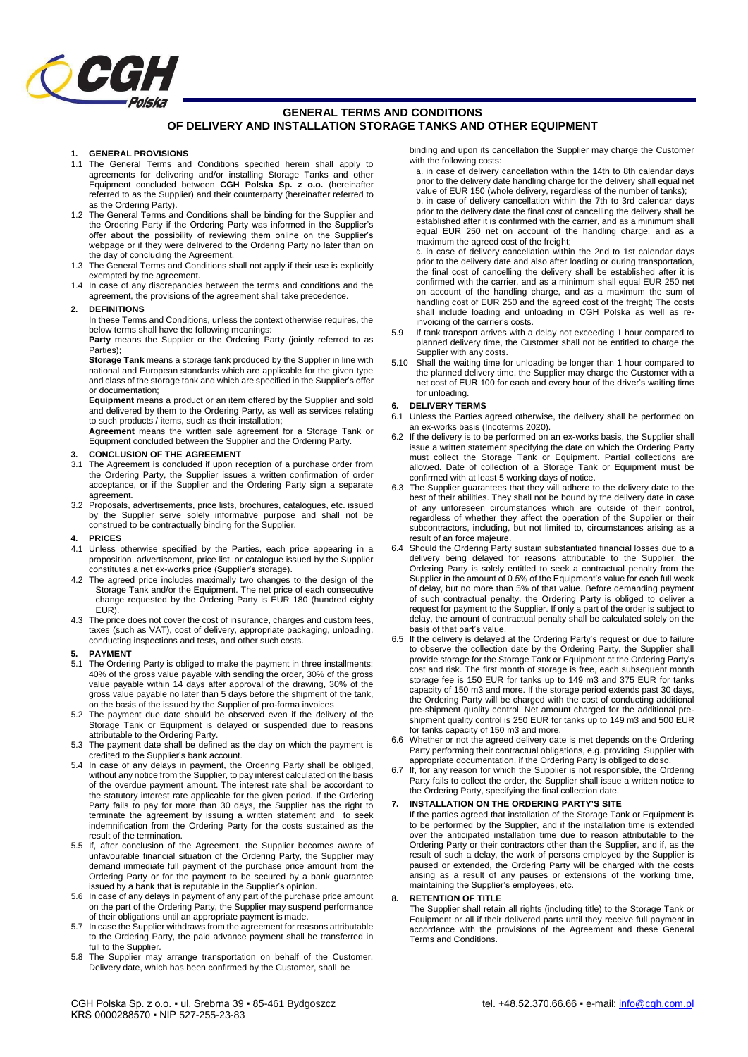

# **GENERAL TERMS AND CONDITIONS OF DELIVERY AND INSTALLATION STORAGE TANKS AND OTHER EQUIPMENT**

#### **1. GENERAL PROVISIONS**

- 1.1 The General Terms and Conditions specified herein shall apply to agreements for delivering and/or installing Storage Tanks and other Equipment concluded between **CGH Polska Sp. z o.o.** (hereinafter referred to as the Supplier) and their counterparty (hereinafter referred to as the Ordering Party).
- 1.2 The General Terms and Conditions shall be binding for the Supplier and the Ordering Party if the Ordering Party was informed in the Supplier's offer about the possibility of reviewing them online on the Supplier's webpage or if they were delivered to the Ordering Party no later than on the day of concluding the Agreement.
- 1.3 The General Terms and Conditions shall not apply if their use is explicitly exempted by the agreement.
- 1.4 In case of any discrepancies between the terms and conditions and the agreement, the provisions of the agreement shall take precedence.

#### **2. DEFINITIONS**

In these Terms and Conditions, unless the context otherwise requires, the below terms shall have the following meanings: **Party** means the Supplier or the Ordering Party (jointly referred to as

Parties);

**Storage Tank** means a storage tank produced by the Supplier in line with national and European standards which are applicable for the given type and class of the storage tank and which are specified in the Supplier's offer or documentation;

**Equipment** means a product or an item offered by the Supplier and sold and delivered by them to the Ordering Party, as well as services relating to such products / items, such as their installation;

**Agreement** means the written sale agreement for a Storage Tank or Equipment concluded between the Supplier and the Ordering Party.

# **3. CONCLUSION OF THE AGREEMENT**

- 3.1 The Agreement is concluded if upon reception of a purchase order from the Ordering Party, the Supplier issues a written confirmation of order acceptance, or if the Supplier and the Ordering Party sign a separate agreement.
- 3.2 Proposals, advertisements, price lists, brochures, catalogues, etc. issued by the Supplier serve solely informative purpose and shall not be construed to be contractually binding for the Supplier.
- **4. PRICES**
- 4.1 Unless otherwise specified by the Parties, each price appearing in a proposition, advertisement, price list, or catalogue issued by the Supplier constitutes a net ex-works price (Supplier's storage).
- 4.2 The agreed price includes maximally two changes to the design of the Storage Tank and/or the Equipment. The net price of each consecutive change requested by the Ordering Party is EUR 180 (hundred eighty EUR).
- 4.3 The price does not cover the cost of insurance, charges and custom fees, taxes (such as VAT), cost of delivery, appropriate packaging, unloading, conducting inspections and tests, and other such costs.

## **5. PAYMENT**

- 5.1 The Ordering Party is obliged to make the payment in three installments: 40% of the gross value payable with sending the order, 30% of the gross value payable within 14 days after approval of the drawing, 30% of the gross value payable no later than 5 days before the shipment of the tank, on the basis of the issued by the Supplier of pro-forma invoices
- 5.2 The payment due date should be observed even if the delivery of the Storage Tank or Equipment is delayed or suspended due to reasons attributable to the Ordering Party.
- 5.3 The payment date shall be defined as the day on which the payment is credited to the Supplier's bank account.
- 5.4 In case of any delays in payment, the Ordering Party shall be obliged, without any notice from the Supplier, to pay interest calculated on the basis of the overdue payment amount. The interest rate shall be accordant to the statutory interest rate applicable for the given period. If the Ordering Party fails to pay for more than 30 days, the Supplier has the right to terminate the agreement by issuing a written statement and to seek indemnification from the Ordering Party for the costs sustained as the result of the termination.
- 5.5 If, after conclusion of the Agreement, the Supplier becomes aware of unfavourable financial situation of the Ordering Party, the Supplier may demand immediate full payment of the purchase price amount from the Ordering Party or for the payment to be secured by a bank guarantee issued by a bank that is reputable in the Supplier's opinion.
- 5.6 In case of any delays in payment of any part of the purchase price amount on the part of the Ordering Party, the Supplier may suspend performance of their obligations until an appropriate payment is made.
- 5.7 In case the Supplier withdraws from the agreement for reasons attributable to the Ordering Party, the paid advance payment shall be transferred in full to the Supplier.
- 5.8 The Supplier may arrange transportation on behalf of the Customer. Delivery date, which has been confirmed by the Customer, shall be

binding and upon its cancellation the Supplier may charge the Customer with the following costs:

a. in case of delivery cancellation within the 14th to 8th calendar days prior to the delivery date handling charge for the delivery shall equal net value of EUR 150 (whole delivery, regardless of the number of tanks);

b. in case of delivery cancellation within the 7th to 3rd calendar days prior to the delivery date the final cost of cancelling the delivery shall be established after it is confirmed with the carrier, and as a minimum shall equal EUR 250 net on account of the handling charge, and as a maximum the agreed cost of the freight;

c. in case of delivery cancellation within the 2nd to 1st calendar days prior to the delivery date and also after loading or during transportation, the final cost of cancelling the delivery shall be established after it is confirmed with the carrier, and as a minimum shall equal EUR 250 net on account of the handling charge, and as a maximum the sum of handling cost of EUR 250 and the agreed cost of the freight; The costs shall include loading and unloading in CGH Polska as well as reinvoicing of the carrier's costs.

- 5.9 If tank transport arrives with a delay not exceeding 1 hour compared to planned delivery time, the Customer shall not be entitled to charge the Supplier with any costs.
- 5.10 Shall the waiting time for unloading be longer than 1 hour compared to the planned delivery time, the Supplier may charge the Customer with a net cost of EUR 100 for each and every hour of the driver's waiting time for unloading.

#### **6. DELIVERY TERMS**

- 6.1 Unless the Parties agreed otherwise, the delivery shall be performed on an ex-works basis (Incoterms 2020).
- If the delivery is to be performed on an ex-works basis, the Supplier shall issue a written statement specifying the date on which the Ordering Party must collect the Storage Tank or Equipment. Partial collections are allowed. Date of collection of a Storage Tank or Equipment must be confirmed with at least 5 working days of notice.
- 6.3 The Supplier guarantees that they will adhere to the delivery date to the best of their abilities. They shall not be bound by the delivery date in case of any unforeseen circumstances which are outside of their control, regardless of whether they affect the operation of the Supplier or their subcontractors, including, but not limited to, circumstances arising as a result of an force majeure.
- 6.4 Should the Ordering Party sustain substantiated financial losses due to a delivery being delayed for reasons attributable to the Supplier, the Ordering Party is solely entitled to seek a contractual penalty from the Supplier in the amount of 0.5% of the Equipment's value for each full week of delay, but no more than 5% of that value. Before demanding payment of such contractual penalty, the Ordering Party is obliged to deliver a request for payment to the Supplier. If only a part of the order is subject to delay, the amount of contractual penalty shall be calculated solely on the basis of that part's value.
- 6.5 If the delivery is delayed at the Ordering Party's request or due to failure to observe the collection date by the Ordering Party, the Supplier shall provide storage for the Storage Tank or Equipment at the Ordering Party's cost and risk. The first month of storage is free, each subsequent month storage fee is 150 EUR for tanks up to 149 m3 and 375 EUR for tanks capacity of 150 m3 and more. If the storage period extends past 30 days, the Ordering Party will be charged with the cost of conducting additional pre-shipment quality control. Net amount charged for the additional preshipment quality control is 250 EUR for tanks up to 149 m3 and 500 EUR for tanks capacity of 150 m3 and more.
- Whether or not the agreed delivery date is met depends on the Ordering Party performing their contractual obligations, e.g. providing Supplier with appropriate documentation, if the Ordering Party is obliged to doso.
- 6.7 If, for any reason for which the Supplier is not responsible, the Ordering Party fails to collect the order, the Supplier shall issue a written notice to the Ordering Party, specifying the final collection date.

#### **7. INSTALLATION ON THE ORDERING PARTY'S SITE**

If the parties agreed that installation of the Storage Tank or Equipment is to be performed by the Supplier, and if the installation time is extended over the anticipated installation time due to reason attributable to the Ordering Party or their contractors other than the Supplier, and if, as the result of such a delay, the work of persons employed by the Supplier is paused or extended, the Ordering Party will be charged with the costs arising as a result of any pauses or extensions of the working time, maintaining the Supplier's employees, etc.

## **8. RETENTION OF TITLE**

The Supplier shall retain all rights (including title) to the Storage Tank or Equipment or all if their delivered parts until they receive full payment in accordance with the provisions of the Agreement and these General Terms and Conditions.